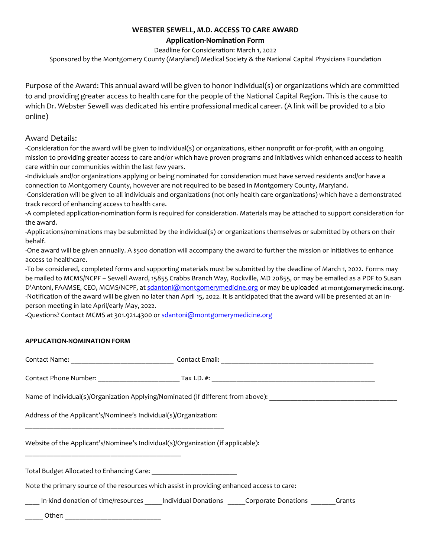## **WEBSTER SEWELL, M.D. ACCESS TO CARE AWARD**

**Application-Nomination Form**

Deadline for Consideration: March 1, 2022

Sponsored by the Montgomery County (Maryland) Medical Society & the National Capital Physicians Foundation

Purpose of the Award: This annual award will be given to honor individual(s) or organizations which are committed to and providing greater access to health care for the people of the National Capital Region. This is the cause to which Dr. Webster Sewell was dedicated his entire professional medical career. (A link will be provided to a bio online)

## Award Details:

-Consideration for the award will be given to individual(s) or organizations, either nonprofit or for-profit, with an ongoing mission to providing greater access to care and/or which have proven programs and initiatives which enhanced access to health care within our communities within the last few years.

-Individuals and/or organizations applying or being nominated for consideration must have served residents and/or have a connection to Montgomery County, however are not required to be based in Montgomery County, Maryland.

-Consideration will be given to all individuals and organizations (not only health care organizations) which have a demonstrated track record of enhancing access to health care.

-A completed application-nomination form is required for consideration. Materials may be attached to support consideration for the award.

-Applications/nominations may be submitted by the individual(s) or organizations themselves or submitted by others on their behalf.

-One award will be given annually. A \$500 donation will accompany the award to further the mission or initiatives to enhance access to healthcare.

-To be considered, completed forms and supporting materials must be submitted by the deadline of March 1, 2022. Forms may be mailed to MCMS/NCPF – Sewell Award, 15855 Crabbs Branch Way, Rockville, MD 20855, or may be emailed as a PDF to Susan D'Antoni, FAAMSE, CEO, MCMS/NCPF, at <u>sdantoni@montgomerymedicine.or</u>g or may be uploaded at montgomerymedicine.org. -Notification of the award will be given no later than April 15, 2022. It is anticipated that the award will be presented at an inperson meeting in late April/early May, 2022.

-Questions? Contact MCMS at 301.921.4300 o[r sdantoni@montgomerymedicine.org](mailto:sdantoni@montgomerymedicine.org)

## **APPLICATION-NOMINATION FORM**

| Name of Individual(s)/Organization Applying/Nominated (if different from above): ___________________ |                                                                                       |
|------------------------------------------------------------------------------------------------------|---------------------------------------------------------------------------------------|
| Address of the Applicant's/Nominee's Individual(s)/Organization:                                     |                                                                                       |
| Website of the Applicant's/Nominee's Individual(s)/Organization (if applicable):                     |                                                                                       |
| Total Budget Allocated to Enhancing Care: 1986 1997 1998 1999                                        |                                                                                       |
| Note the primary source of the resources which assist in providing enhanced access to care:          |                                                                                       |
|                                                                                                      | In-kind donation of time/resources lndividual Donations Corporate Donations<br>Grants |

Other: